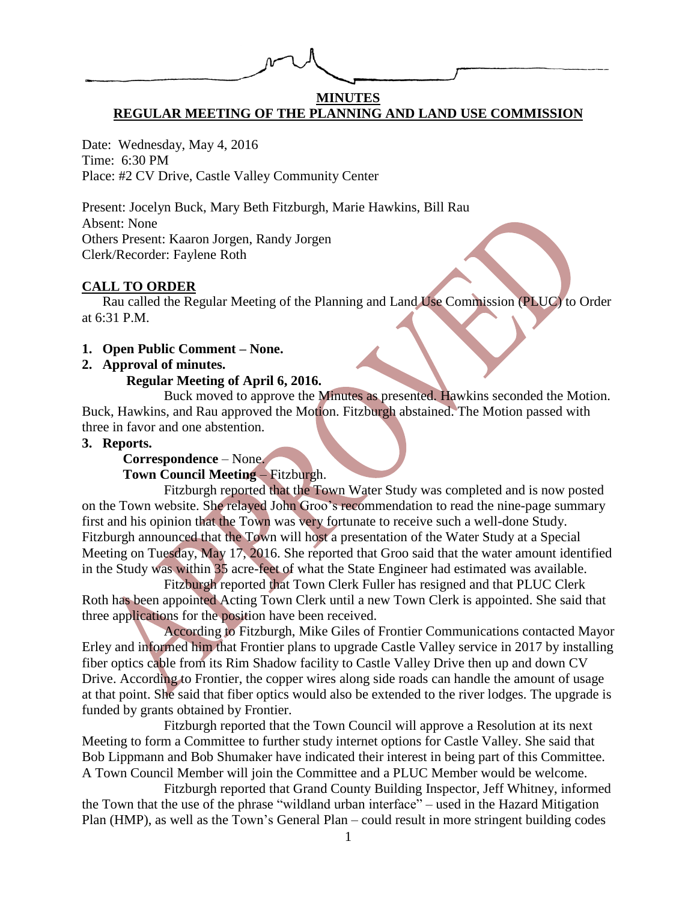# **MINUTES REGULAR MEETING OF THE PLANNING AND LAND USE COMMISSION**

Date: Wednesday, May 4, 2016 Time: 6:30 PM Place: #2 CV Drive, Castle Valley Community Center

Present: Jocelyn Buck, Mary Beth Fitzburgh, Marie Hawkins, Bill Rau Absent: None Others Present: Kaaron Jorgen, Randy Jorgen Clerk/Recorder: Faylene Roth

## **CALL TO ORDER**

Rau called the Regular Meeting of the Planning and Land Use Commission (PLUC) to Order at 6:31 P.M.

**1. Open Public Comment – None.**

## **2. Approval of minutes.**

#### **Regular Meeting of April 6, 2016.**

Buck moved to approve the Minutes as presented. Hawkins seconded the Motion. Buck, Hawkins, and Rau approved the Motion. Fitzburgh abstained. The Motion passed with three in favor and one abstention.

#### **3. Reports.**

# **Correspondence** – None.

**Town Council Meeting** – Fitzburgh.

Fitzburgh reported that the Town Water Study was completed and is now posted on the Town website. She relayed John Groo's recommendation to read the nine-page summary first and his opinion that the Town was very fortunate to receive such a well-done Study. Fitzburgh announced that the Town will host a presentation of the Water Study at a Special Meeting on Tuesday, May 17, 2016. She reported that Groo said that the water amount identified in the Study was within 35 acre-feet of what the State Engineer had estimated was available.

Fitzburgh reported that Town Clerk Fuller has resigned and that PLUC Clerk Roth has been appointed Acting Town Clerk until a new Town Clerk is appointed. She said that three applications for the position have been received.

According to Fitzburgh, Mike Giles of Frontier Communications contacted Mayor Erley and informed him that Frontier plans to upgrade Castle Valley service in 2017 by installing fiber optics cable from its Rim Shadow facility to Castle Valley Drive then up and down CV Drive. According to Frontier, the copper wires along side roads can handle the amount of usage at that point. She said that fiber optics would also be extended to the river lodges. The upgrade is funded by grants obtained by Frontier.

Fitzburgh reported that the Town Council will approve a Resolution at its next Meeting to form a Committee to further study internet options for Castle Valley. She said that Bob Lippmann and Bob Shumaker have indicated their interest in being part of this Committee. A Town Council Member will join the Committee and a PLUC Member would be welcome.

Fitzburgh reported that Grand County Building Inspector, Jeff Whitney, informed the Town that the use of the phrase "wildland urban interface" – used in the Hazard Mitigation Plan (HMP), as well as the Town's General Plan – could result in more stringent building codes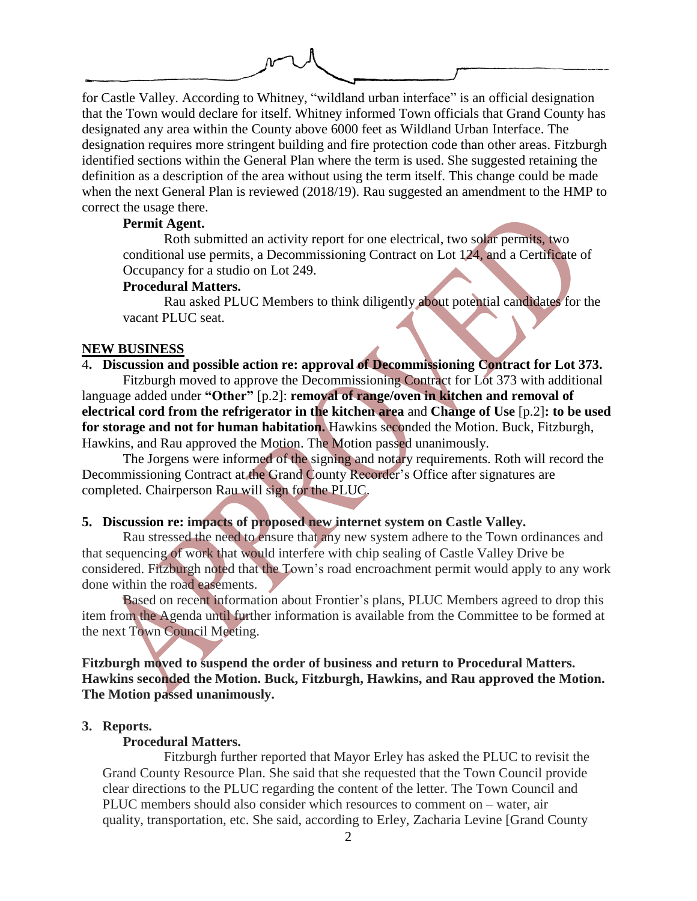

for Castle Valley. According to Whitney, "wildland urban interface" is an official designation that the Town would declare for itself. Whitney informed Town officials that Grand County has designated any area within the County above 6000 feet as Wildland Urban Interface. The designation requires more stringent building and fire protection code than other areas. Fitzburgh identified sections within the General Plan where the term is used. She suggested retaining the definition as a description of the area without using the term itself. This change could be made when the next General Plan is reviewed (2018/19). Rau suggested an amendment to the HMP to correct the usage there.

## **Permit Agent.**

Roth submitted an activity report for one electrical, two solar permits, two conditional use permits, a Decommissioning Contract on Lot 124, and a Certificate of Occupancy for a studio on Lot 249.

## **Procedural Matters.**

Rau asked PLUC Members to think diligently about potential candidates for the vacant PLUC seat.

## **NEW BUSINESS**

# 4**. Discussion and possible action re: approval of Decommissioning Contract for Lot 373.**

Fitzburgh moved to approve the Decommissioning Contract for Lot 373 with additional language added under **"Other"** [p.2]: **removal of range/oven in kitchen and removal of electrical cord from the refrigerator in the kitchen area** and **Change of Use** [p.2]**: to be used for storage and not for human habitation.** Hawkins seconded the Motion. Buck, Fitzburgh, Hawkins, and Rau approved the Motion. The Motion passed unanimously.

The Jorgens were informed of the signing and notary requirements. Roth will record the Decommissioning Contract at the Grand County Recorder's Office after signatures are completed. Chairperson Rau will sign for the PLUC.

# **5. Discussion re: impacts of proposed new internet system on Castle Valley.**

Rau stressed the need to ensure that any new system adhere to the Town ordinances and that sequencing of work that would interfere with chip sealing of Castle Valley Drive be considered. Fitzburgh noted that the Town's road encroachment permit would apply to any work done within the road easements.

Based on recent information about Frontier's plans, PLUC Members agreed to drop this item from the Agenda until further information is available from the Committee to be formed at the next Town Council Meeting.

**Fitzburgh moved to suspend the order of business and return to Procedural Matters. Hawkins seconded the Motion. Buck, Fitzburgh, Hawkins, and Rau approved the Motion. The Motion passed unanimously.**

## **3. Reports.**

#### **Procedural Matters.**

Fitzburgh further reported that Mayor Erley has asked the PLUC to revisit the Grand County Resource Plan. She said that she requested that the Town Council provide clear directions to the PLUC regarding the content of the letter. The Town Council and PLUC members should also consider which resources to comment on – water, air quality, transportation, etc. She said, according to Erley, Zacharia Levine [Grand County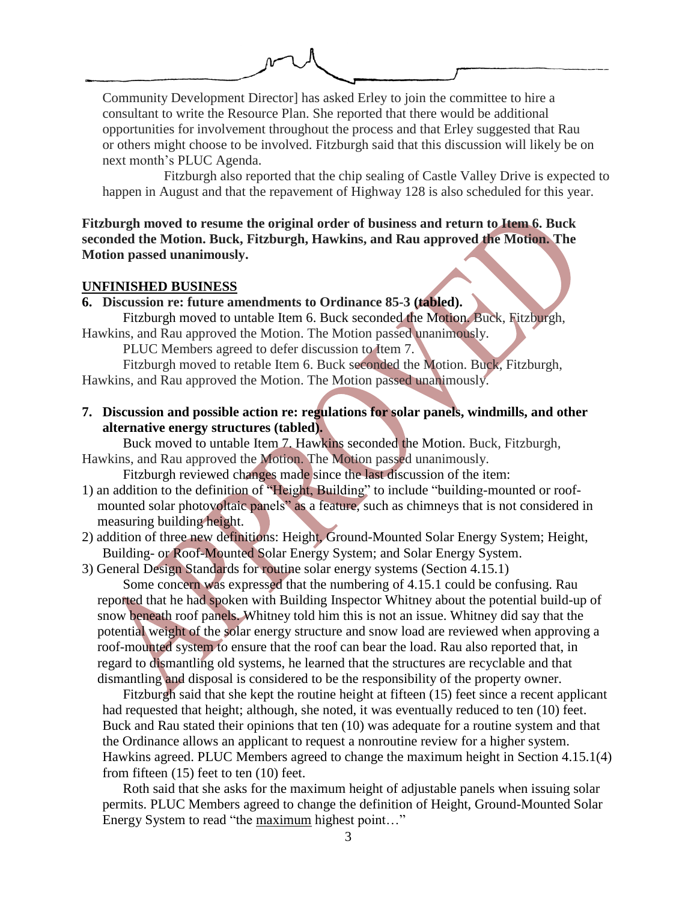

Community Development Director] has asked Erley to join the committee to hire a consultant to write the Resource Plan. She reported that there would be additional opportunities for involvement throughout the process and that Erley suggested that Rau or others might choose to be involved. Fitzburgh said that this discussion will likely be on next month's PLUC Agenda.

Fitzburgh also reported that the chip sealing of Castle Valley Drive is expected to happen in August and that the repavement of Highway 128 is also scheduled for this year.

**Fitzburgh moved to resume the original order of business and return to Item 6. Buck seconded the Motion. Buck, Fitzburgh, Hawkins, and Rau approved the Motion. The Motion passed unanimously.**

#### **UNFINISHED BUSINESS**

**6. Discussion re: future amendments to Ordinance 85-3 (tabled).** 

Fitzburgh moved to untable Item 6. Buck seconded the Motion. Buck, Fitzburgh, Hawkins, and Rau approved the Motion. The Motion passed unanimously.

PLUC Members agreed to defer discussion to Item 7.

Fitzburgh moved to retable Item 6. Buck seconded the Motion. Buck, Fitzburgh, Hawkins, and Rau approved the Motion. The Motion passed unanimously.

**7. Discussion and possible action re: regulations for solar panels, windmills, and other alternative energy structures (tabled).** 

Buck moved to untable Item 7. Hawkins seconded the Motion. Buck, Fitzburgh, Hawkins, and Rau approved the Motion. The Motion passed unanimously.

Fitzburgh reviewed changes made since the last discussion of the item:

- 1) an addition to the definition of "Height, Building" to include "building-mounted or roofmounted solar photovoltaic panels" as a feature, such as chimneys that is not considered in measuring building height.
- 2) addition of three new definitions: Height, Ground-Mounted Solar Energy System; Height, Building- or Roof-Mounted Solar Energy System; and Solar Energy System.

3) General Design Standards for routine solar energy systems (Section 4.15.1)

Some concern was expressed that the numbering of 4.15.1 could be confusing. Rau reported that he had spoken with Building Inspector Whitney about the potential build-up of snow beneath roof panels. Whitney told him this is not an issue. Whitney did say that the potential weight of the solar energy structure and snow load are reviewed when approving a roof-mounted system to ensure that the roof can bear the load. Rau also reported that, in regard to dismantling old systems, he learned that the structures are recyclable and that dismantling and disposal is considered to be the responsibility of the property owner.

Fitzburgh said that she kept the routine height at fifteen (15) feet since a recent applicant had requested that height; although, she noted, it was eventually reduced to ten (10) feet. Buck and Rau stated their opinions that ten (10) was adequate for a routine system and that the Ordinance allows an applicant to request a nonroutine review for a higher system. Hawkins agreed. PLUC Members agreed to change the maximum height in Section 4.15.1(4) from fifteen (15) feet to ten (10) feet.

Roth said that she asks for the maximum height of adjustable panels when issuing solar permits. PLUC Members agreed to change the definition of Height, Ground-Mounted Solar Energy System to read "the maximum highest point..."